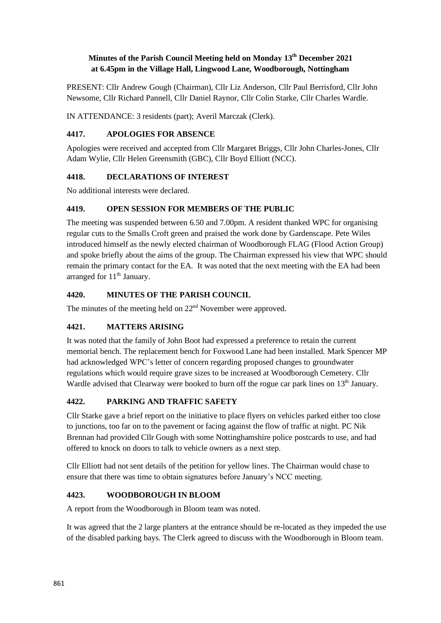# **Minutes of the Parish Council Meeting held on Monday 13th December 2021 at 6.45pm in the Village Hall, Lingwood Lane, Woodborough, Nottingham**

PRESENT: Cllr Andrew Gough (Chairman), Cllr Liz Anderson, Cllr Paul Berrisford, Cllr John Newsome, Cllr Richard Pannell, Cllr Daniel Raynor, Cllr Colin Starke, Cllr Charles Wardle.

IN ATTENDANCE: 3 residents (part); Averil Marczak (Clerk).

### **4417. APOLOGIES FOR ABSENCE**

Apologies were received and accepted from Cllr Margaret Briggs, Cllr John Charles-Jones, Cllr Adam Wylie, Cllr Helen Greensmith (GBC), Cllr Boyd Elliott (NCC).

### **4418. DECLARATIONS OF INTEREST**

No additional interests were declared.

### **4419. OPEN SESSION FOR MEMBERS OF THE PUBLIC**

The meeting was suspended between 6.50 and 7.00pm. A resident thanked WPC for organising regular cuts to the Smalls Croft green and praised the work done by Gardenscape. Pete Wiles introduced himself as the newly elected chairman of Woodborough FLAG (Flood Action Group) and spoke briefly about the aims of the group. The Chairman expressed his view that WPC should remain the primary contact for the EA. It was noted that the next meeting with the EA had been arranged for 11<sup>th</sup> January.

### **4420. MINUTES OF THE PARISH COUNCIL**

The minutes of the meeting held on  $22<sup>nd</sup>$  November were approved.

# **4421. MATTERS ARISING**

It was noted that the family of John Boot had expressed a preference to retain the current memorial bench. The replacement bench for Foxwood Lane had been installed. Mark Spencer MP had acknowledged WPC's letter of concern regarding proposed changes to groundwater regulations which would require grave sizes to be increased at Woodborough Cemetery. Cllr Wardle advised that Clearway were booked to burn off the rogue car park lines on  $13<sup>th</sup>$  January.

# **4422. PARKING AND TRAFFIC SAFETY**

Cllr Starke gave a brief report on the initiative to place flyers on vehicles parked either too close to junctions, too far on to the pavement or facing against the flow of traffic at night. PC Nik Brennan had provided Cllr Gough with some Nottinghamshire police postcards to use, and had offered to knock on doors to talk to vehicle owners as a next step.

Cllr Elliott had not sent details of the petition for yellow lines. The Chairman would chase to ensure that there was time to obtain signatures before January's NCC meeting.

# **4423. WOODBOROUGH IN BLOOM**

A report from the Woodborough in Bloom team was noted.

It was agreed that the 2 large planters at the entrance should be re-located as they impeded the use of the disabled parking bays. The Clerk agreed to discuss with the Woodborough in Bloom team.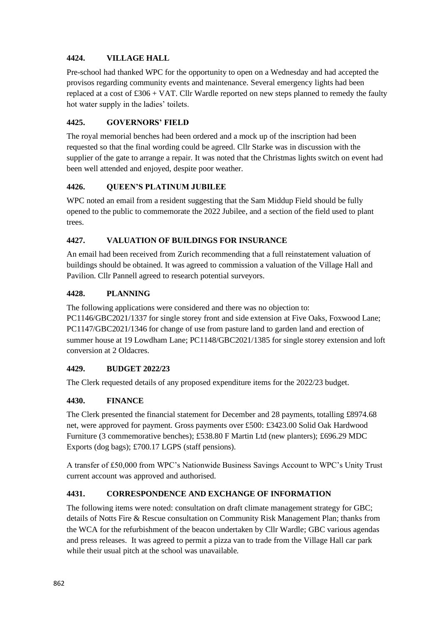### **4424. VILLAGE HALL**

Pre-school had thanked WPC for the opportunity to open on a Wednesday and had accepted the provisos regarding community events and maintenance. Several emergency lights had been replaced at a cost of £306 + VAT. Cllr Wardle reported on new steps planned to remedy the faulty hot water supply in the ladies' toilets.

### **4425. GOVERNORS' FIELD**

The royal memorial benches had been ordered and a mock up of the inscription had been requested so that the final wording could be agreed. Cllr Starke was in discussion with the supplier of the gate to arrange a repair. It was noted that the Christmas lights switch on event had been well attended and enjoyed, despite poor weather.

### **4426. QUEEN'S PLATINUM JUBILEE**

WPC noted an email from a resident suggesting that the Sam Middup Field should be fully opened to the public to commemorate the 2022 Jubilee, and a section of the field used to plant trees.

# **4427. VALUATION OF BUILDINGS FOR INSURANCE**

An email had been received from Zurich recommending that a full reinstatement valuation of buildings should be obtained. It was agreed to commission a valuation of the Village Hall and Pavilion. Cllr Pannell agreed to research potential surveyors.

### **4428. PLANNING**

The following applications were considered and there was no objection to:

PC1146/GBC2021/1337 for single storey front and side extension at Five Oaks, Foxwood Lane; PC1147/GBC2021/1346 for change of use from pasture land to garden land and erection of summer house at 19 Lowdham Lane; PC1148/GBC2021/1385 for single storey extension and loft conversion at 2 Oldacres.

#### **4429. BUDGET 2022/23**

The Clerk requested details of any proposed expenditure items for the 2022/23 budget.

#### **4430. FINANCE**

The Clerk presented the financial statement for December and 28 payments, totalling £8974.68 net, were approved for payment. Gross payments over £500: £3423.00 Solid Oak Hardwood Furniture (3 commemorative benches); £538.80 F Martin Ltd (new planters); £696.29 MDC Exports (dog bags); £700.17 LGPS (staff pensions).

A transfer of £50,000 from WPC's Nationwide Business Savings Account to WPC's Unity Trust current account was approved and authorised.

# **4431. CORRESPONDENCE AND EXCHANGE OF INFORMATION**

The following items were noted: consultation on draft climate management strategy for GBC; details of Notts Fire & Rescue consultation on Community Risk Management Plan; thanks from the WCA for the refurbishment of the beacon undertaken by Cllr Wardle; GBC various agendas and press releases. It was agreed to permit a pizza van to trade from the Village Hall car park while their usual pitch at the school was unavailable.